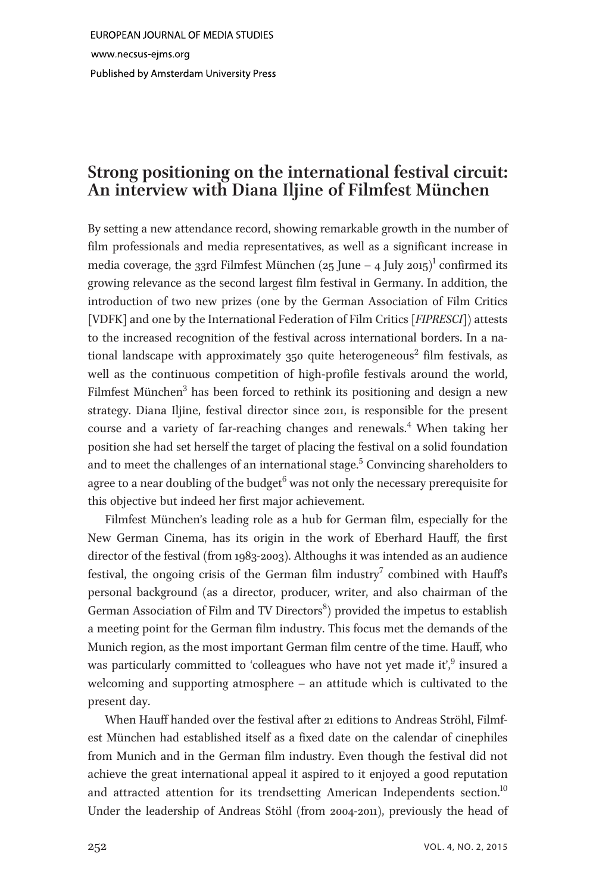## Strong positioning on the international festival circuit:  $\overline{J}$

By setting a new attendance record, showing remarkable growth in the number of film professionals and media representatives, as well as a significant increase in media coverage, the 33rd Filmfest München (25 June – 4 July 2015)<sup>1</sup> confirmed its growing relevance as the second largest film festival in Germany. In addition, the introduction of two new prizes (one by the German Association of Film Critics [VDFK] and one by the International Federation of Film Critics [FIPRESCI]) attests to the increased recognition of the festival across international borders. In a national landscape with approximately  $350$  quite heterogeneous<sup>2</sup> film festivals, as well as the continuous competition of high-profile festivals around the world, Filmfest München<sup>3</sup> has been forced to rethink its positioning and design a new strategy. Diana Iljine, festival director since 2011, is responsible for the present course and a variety of far-reaching changes and renewals.<sup>4</sup> When taking her position she had set herself the target of placing the festival on a solid foundation and to meet the challenges of an international stage.<sup>5</sup> Convincing shareholders to agree to a near doubling of the budget<sup>6</sup> was not only the necessary prerequisite for this objective but indeed her first major achievement.

Filmfest München's leading role as a hub for German film, especially for the New German Cinema, has its origin in the work of Eberhard Hauff, the first director of the festival (from 1983-2003). Althoughs it was intended as an audience festival, the ongoing crisis of the German film industry<sup>7</sup> combined with Hauff's personal background (as a director, producer, writer, and also chairman of the German Association of Film and TV Directors<sup>8</sup>) provided the impetus to establish a meeting point for the German film industry. This focus met the demands of the Munich region, as the most important German film centre of the time. Hauff, who was particularly committed to 'colleagues who have not yet made it',<sup>9</sup> insured a welcoming and supporting atmosphere – an attitude which is cultivated to the present day.

When Hauff handed over the festival after 21 editions to Andreas Ströhl, Filmfest München had established itself as a fixed date on the calendar of cinephiles from Munich and in the German film industry. Even though the festival did not achieve the great international appeal it aspired to it enjoyed a good reputation and attracted attention for its trendsetting American Independents section.<sup>10</sup> Under the leadership of Andreas Stöhl (from 2004-2011), previously the head of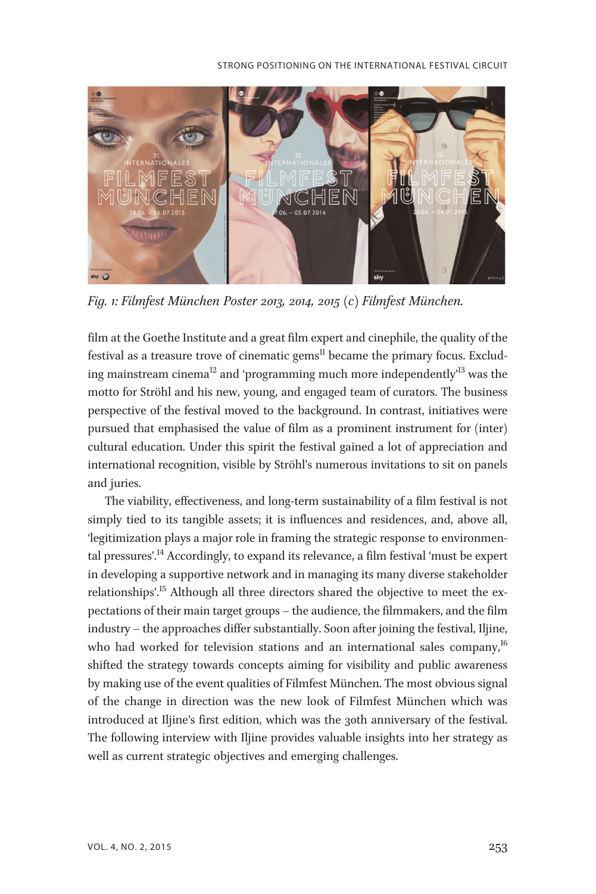

Fig. 1: Filmfest München Poster 2013, 2014, 2015 (c) Filmfest München.

film at the Goethe Institute and a great film expert and cinephile, the quality of the festival as a treasure trove of cinematic gems $^{\text{II}}$  became the primary focus. Excluding mainstream cinema $^{\text{12}}$  and 'programming much more independently' $^{\text{13}}$  was the motto for Ströhl and his new, young, and engaged team of curators. The business perspective of the festival moved to the background. In contrast, initiatives were pursued that emphasised the value of film as a prominent instrument for (inter) cultural education. Under this spirit the festival gained a lot of appreciation and international recognition, visible by Ströhl's numerous invitations to sit on panels and juries.

The viability, effectiveness, and long-term sustainability of a film festival is not simply tied to its tangible assets; it is influences and residences, and, above all, 'legitimization plays a major role in framing the strategic response to environmental pressures'. <sup>14</sup> Accordingly, to expand its relevance, a film festival 'must be expert in developing a supportive network and in managing its many diverse stakeholder relationships'.<sup>15</sup> Although all three directors shared the objective to meet the expectations of their main target groups – the audience, the filmmakers, and the film industry – the approaches differ substantially. Soon after joining the festival, Iljine, who had worked for television stations and an international sales company, $^{16}$ shifted the strategy towards concepts aiming for visibility and public awareness by making use of the event qualities of Filmfest München. The most obvious signal of the change in direction was the new look of Filmfest München which was introduced at Iljine's first edition, which was the 30th anniversary of the festival. The following interview with Iljine provides valuable insights into her strategy as well as current strategic objectives and emerging challenges.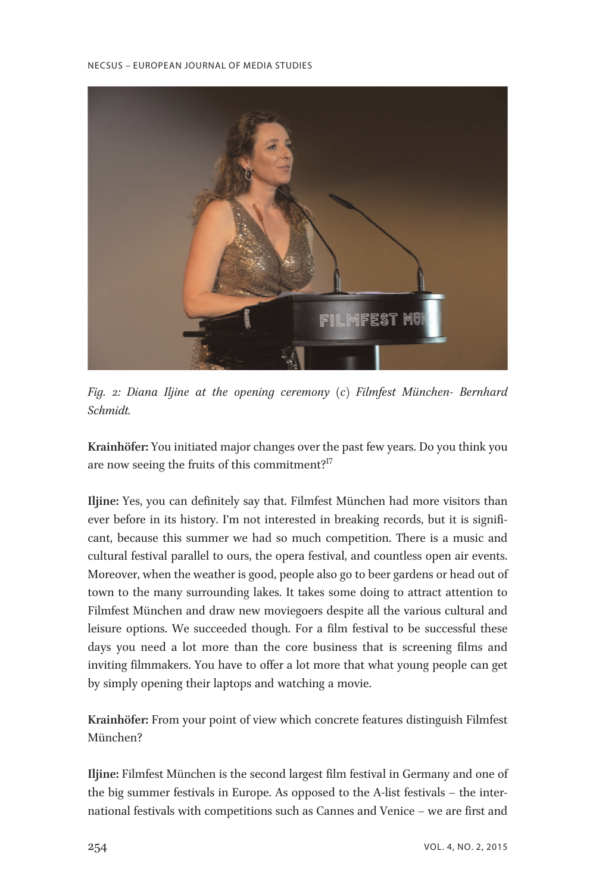

Fig. 2: Diana Iljine at the opening ceremony (c) Filmfest München- Bernhard Schmidt.

Krainhöfer: You initiated major changes over the past few years. Do you think you are now seeing the fruits of this commitment?<sup>17</sup>

Iljine: Yes, you can definitely say that. Filmfest München had more visitors than ever before in its history. I'm not interested in breaking records, but it is significant, because this summer we had so much competition. There is a music and cultural festival parallel to ours, the opera festival, and countless open air events. Moreover, when the weather is good, people also go to beer gardens or head out of town to the many surrounding lakes. It takes some doing to attract attention to Filmfest München and draw new moviegoers despite all the various cultural and leisure options. We succeeded though. For a film festival to be successful these days you need a lot more than the core business that is screening films and inviting filmmakers. You have to offer a lot more that what young people can get by simply opening their laptops and watching a movie.

Krainhöfer: From your point of view which concrete features distinguish Filmfest München?

Iljine: Filmfest München is the second largest film festival in Germany and one of the big summer festivals in Europe. As opposed to the A-list festivals – the international festivals with competitions such as Cannes and Venice – we are first and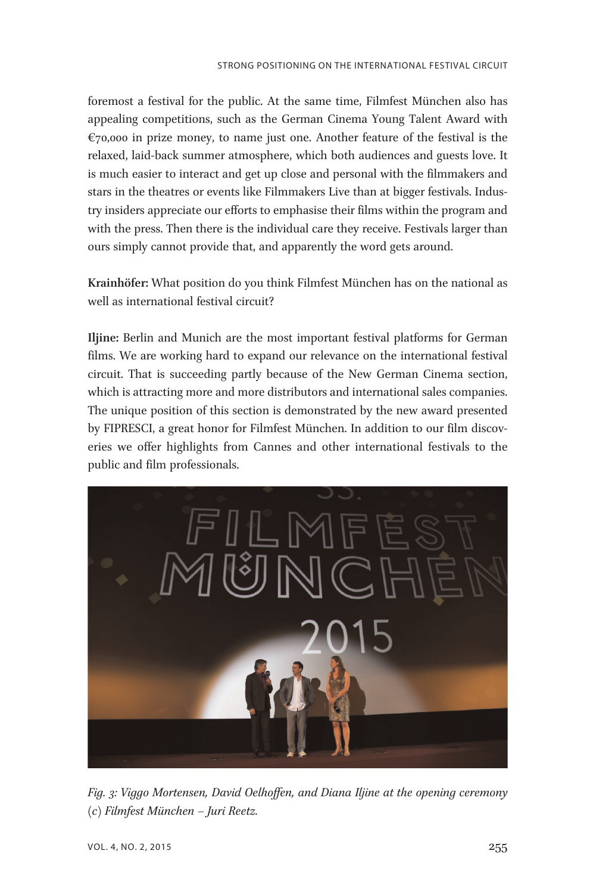foremost a festival for the public. At the same time, Filmfest München also has appealing competitions, such as the German Cinema Young Talent Award with  $\epsilon$ 70,000 in prize money, to name just one. Another feature of the festival is the relaxed, laid-back summer atmosphere, which both audiences and guests love. It is much easier to interact and get up close and personal with the filmmakers and stars in the theatres or events like Filmmakers Live than at bigger festivals. Industry insiders appreciate our efforts to emphasise their films within the program and with the press. Then there is the individual care they receive. Festivals larger than ours simply cannot provide that, and apparently the word gets around.

Krainhöfer: What position do you think Filmfest München has on the national as well as international festival circuit?

Iljine: Berlin and Munich are the most important festival platforms for German films. We are working hard to expand our relevance on the international festival circuit. That is succeeding partly because of the New German Cinema section, which is attracting more and more distributors and international sales companies. The unique position of this section is demonstrated by the new award presented by FIPRESCI, a great honor for Filmfest München. In addition to our film discoveries we offer highlights from Cannes and other international festivals to the public and film professionals.



Fig. 3: Viggo Mortensen, David Oelhoffen, and Diana Iljine at the opening ceremony (c) Filmfest München – Juri Reetz.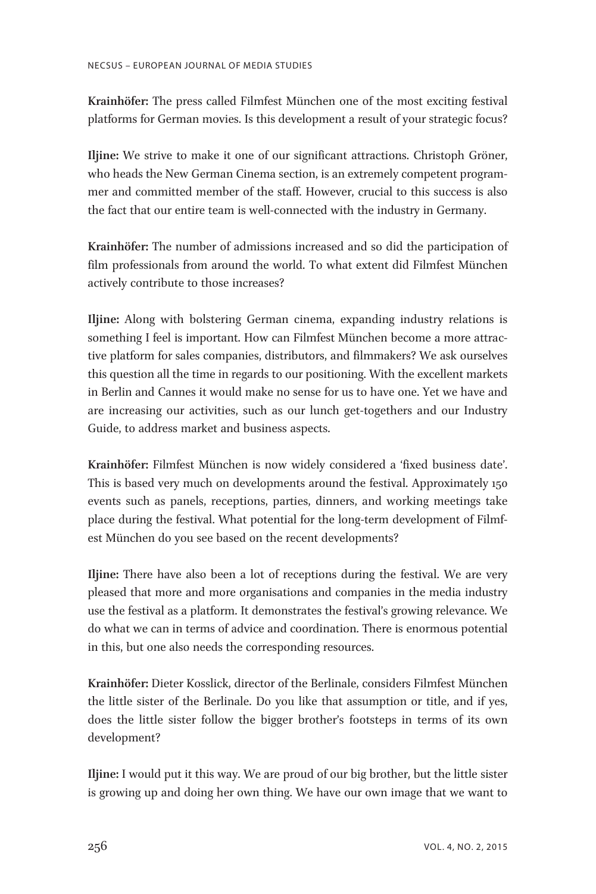Krainhöfer: The press called Filmfest München one of the most exciting festival platforms for German movies. Is this development a result of your strategic focus?

Iljine: We strive to make it one of our significant attractions. Christoph Gröner, who heads the New German Cinema section, is an extremely competent programmer and committed member of the staff. However, crucial to this success is also the fact that our entire team is well-connected with the industry in Germany.

Krainhöfer: The number of admissions increased and so did the participation of film professionals from around the world. To what extent did Filmfest München actively contribute to those increases?

Iljine: Along with bolstering German cinema, expanding industry relations is something I feel is important. How can Filmfest München become a more attractive platform for sales companies, distributors, and filmmakers? We ask ourselves this question all the time in regards to our positioning. With the excellent markets in Berlin and Cannes it would make no sense for us to have one. Yet we have and are increasing our activities, such as our lunch get-togethers and our Industry Guide, to address market and business aspects.

Krainhöfer: Filmfest München is now widely considered a 'fixed business date'. This is based very much on developments around the festival. Approximately 150 events such as panels, receptions, parties, dinners, and working meetings take place during the festival. What potential for the long-term development of Filmfest München do you see based on the recent developments?

Iljine: There have also been a lot of receptions during the festival. We are very pleased that more and more organisations and companies in the media industry use the festival as a platform. It demonstrates the festival's growing relevance. We do what we can in terms of advice and coordination. There is enormous potential in this, but one also needs the corresponding resources.

Krainhöfer: Dieter Kosslick, director of the Berlinale, considers Filmfest München the little sister of the Berlinale. Do you like that assumption or title, and if yes, does the little sister follow the bigger brother's footsteps in terms of its own development?

Iljine: I would put it this way. We are proud of our big brother, but the little sister is growing up and doing her own thing. We have our own image that we want to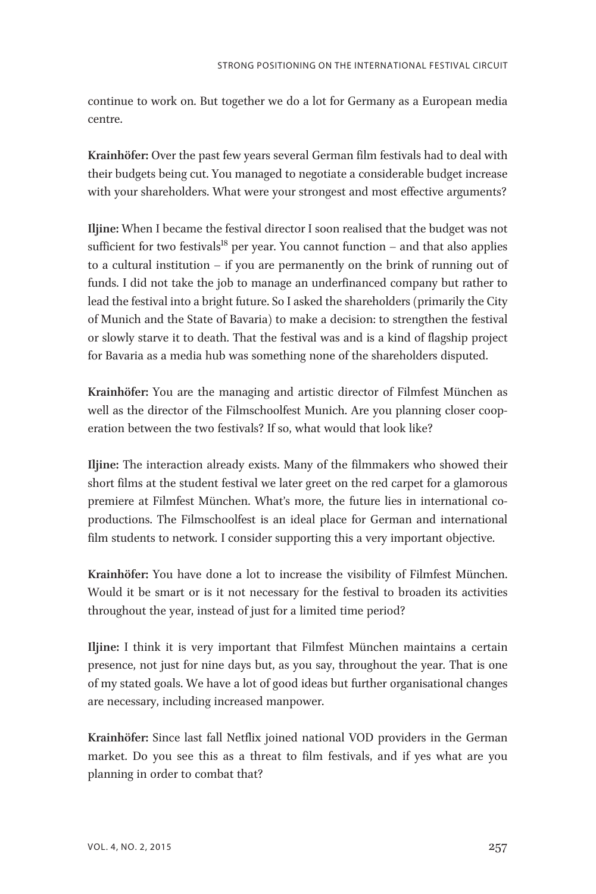continue to work on. But together we do a lot for Germany as a European media centre.

Krainhöfer: Over the past few years several German film festivals had to deal with their budgets being cut. You managed to negotiate a considerable budget increase with your shareholders. What were your strongest and most effective arguments?

Iljine: When I became the festival director I soon realised that the budget was not sufficient for two festivals<sup>18</sup> per year. You cannot function  $-$  and that also applies to a cultural institution – if you are permanently on the brink of running out of funds. I did not take the job to manage an underfinanced company but rather to lead the festival into a bright future. So I asked the shareholders (primarily the City of Munich and the State of Bavaria) to make a decision: to strengthen the festival or slowly starve it to death. That the festival was and is a kind of flagship project for Bavaria as a media hub was something none of the shareholders disputed.

Krainhöfer: You are the managing and artistic director of Filmfest München as well as the director of the Filmschoolfest Munich. Are you planning closer cooperation between the two festivals? If so, what would that look like?

Iljine: The interaction already exists. Many of the filmmakers who showed their short films at the student festival we later greet on the red carpet for a glamorous premiere at Filmfest München. What's more, the future lies in international coproductions. The Filmschoolfest is an ideal place for German and international film students to network. I consider supporting this a very important objective.

Krainhöfer: You have done a lot to increase the visibility of Filmfest München. Would it be smart or is it not necessary for the festival to broaden its activities throughout the year, instead of just for a limited time period?

Iljine: I think it is very important that Filmfest München maintains a certain presence, not just for nine days but, as you say, throughout the year. That is one of my stated goals. We have a lot of good ideas but further organisational changes are necessary, including increased manpower.

Krainhöfer: Since last fall Netflix joined national VOD providers in the German market. Do you see this as a threat to film festivals, and if yes what are you planning in order to combat that?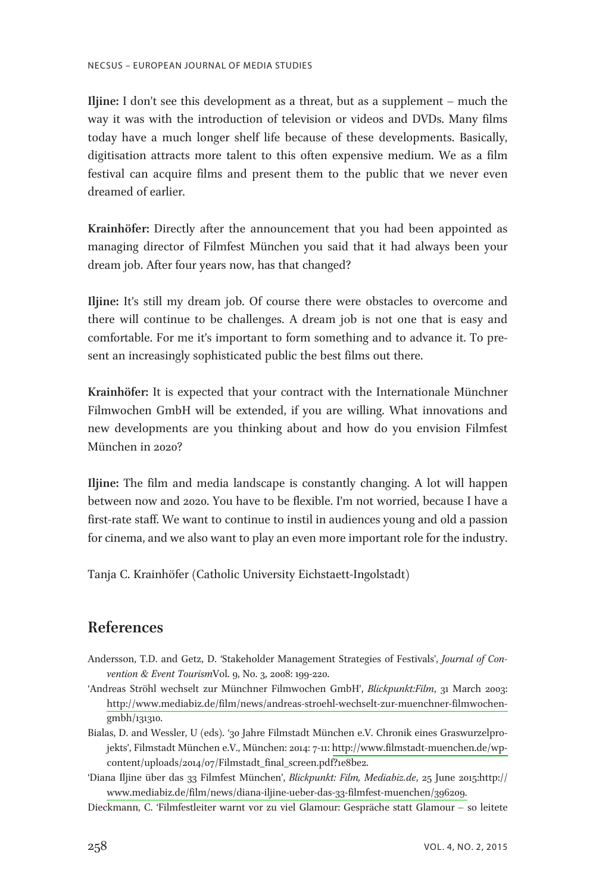Iljine: I don't see this development as a threat, but as a supplement – much the way it was with the introduction of television or videos and DVDs. Many films today have a much longer shelf life because of these developments. Basically, digitisation attracts more talent to this often expensive medium. We as a film festival can acquire films and present them to the public that we never even dreamed of earlier.

Krainhöfer: Directly after the announcement that you had been appointed as managing director of Filmfest München you said that it had always been your dream job. After four years now, has that changed?

Iljine: It's still my dream job. Of course there were obstacles to overcome and there will continue to be challenges. A dream job is not one that is easy and comfortable. For me it's important to form something and to advance it. To present an increasingly sophisticated public the best films out there.

Krainhöfer: It is expected that your contract with the Internationale Münchner Filmwochen GmbH will be extended, if you are willing. What innovations and new developments are you thinking about and how do you envision Filmfest München in 2020?

Iljine: The film and media landscape is constantly changing. A lot will happen between now and 2020. You have to be flexible. I'm not worried, because I have a first-rate staff. We want to continue to instil in audiences young and old a passion for cinema, and we also want to play an even more important role for the industry.

Tanja C. Krainhöfer (Catholic University Eichstaett-Ingolstadt)

## **References**

- Andersson, T.D. and Getz, D. 'Stakeholder Management Strategies of Festivals', Journal of Convention & Event TourismVol. 9, No. 3, 2008: 199-220.
- 'Andreas Ströhl wechselt zur Münchner Filmwochen GmbH', Blickpunkt:Film, 31 March 2003: [http://www.mediabiz.de/film/news/andreas-stroehl-wechselt-zur-muenchner-filmwochen](http://www.mediabiz.de/film/news/andreas-stroehl-wechselt-zur-muenchner-filmwochen-)gmbh/131310.
- Bialas, D. and Wessler, U (eds). '30 Jahre Filmstadt München e.V. Chronik eines Graswurzelprojekts', Filmstadt München e.V., München: 2014: 7-11: [http://www.filmstadt-muenchen.de/wp](http://www.filmstadt-muenchen.de/wp-)content/uploads/2014/07/Filmstadt\_final\_screen.pdf?1e8be2.
- 'Diana Iljine über das 33 Filmfest München', Blickpunkt: Film, Mediabiz.de, 25 June 2015:http:// [www.mediabiz.de/film/news/diana-iljine-ueber-das-33-filmfest-muenchen/396209.](http://www.mediabiz.de/film/news/diana-iljine-ueber-das-33-filmfest-muenchen/396209)
- Dieckmann, C. 'Filmfestleiter warnt vor zu viel Glamour: Gespräche statt Glamour so leitete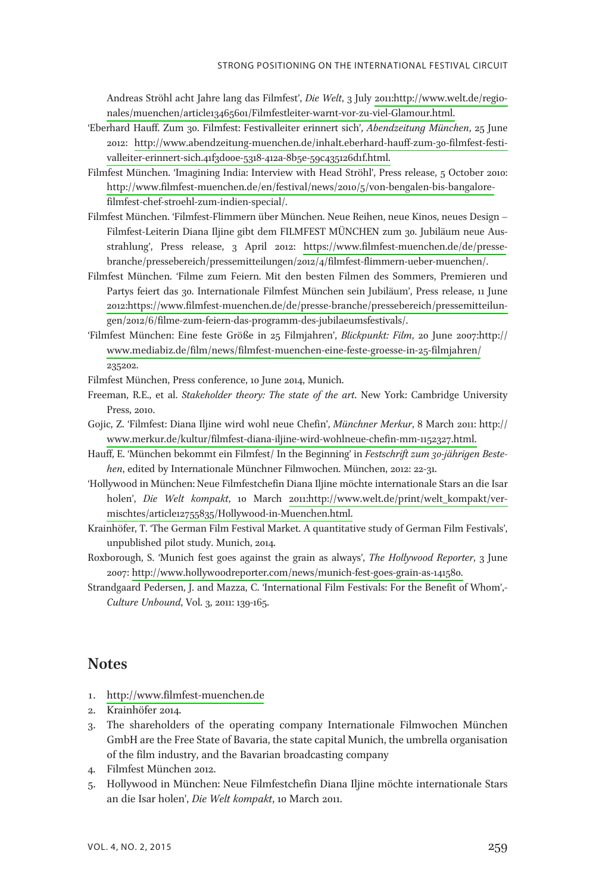Andreas Ströhl acht Jahre lang das Filmfest', Die Welt, 3 July [2011:http://www.welt.de/regio](http://www.welt.de/regio-nales/muenchen/article13465601/Filmfestleiter-warnt-vor-zu-viel-Glamour.html)[nales/muenchen/article13465601/Filmfestleiter-warnt-vor-zu-viel-Glamour.html.](http://www.welt.de/regio-nales/muenchen/article13465601/Filmfestleiter-warnt-vor-zu-viel-Glamour.html)

- 'Eberhard Hauff. Zum 30. Filmfest: Festivalleiter erinnert sich', Abendzeitung München, 25 June 2012: [http://www.abendzeitung-muenchen.de/inhalt.eberhard-hauff-zum-30-filmfest-festi](http://www.abendzeitung-muenchen.de/inhalt.eberhard-hauff-zum-30-filmfest-festi-valleiter-erinnert-sich.41f3d00e-5318-412a-8b5e-59c435126d1f.html)[valleiter-erinnert-sich.41f3d00e-5318-412a-8b5e-59c435126d1f.html.](http://www.abendzeitung-muenchen.de/inhalt.eberhard-hauff-zum-30-filmfest-festi-valleiter-erinnert-sich.41f3d00e-5318-412a-8b5e-59c435126d1f.html)
- Filmfest München. 'Imagining India: Interview with Head Ströhl', Press release, 5 October 2010: [http://www.filmfest-muenchen.de/en/festival/news/2010/5/von-bengalen-bis-bangalore](http://www.filmfest-muenchen.de/en/festival/news/2010/5/von-bengalen-bis-bangalore-)filmfest-chef-stroehl-zum-indien-special/.
- Filmfest München. 'Filmfest-Flimmern über München. Neue Reihen, neue Kinos, neues Design Filmfest-Leiterin Diana Iljine gibt dem FILMFEST MÜNCHEN zum 30. Jubiläum neue Ausstrahlung', Press release, 3 April 2012: [https://www.filmfest-muenchen.de/de/presse](http://www.filmfest-muenchen.de/de/presse-)branche/pressebereich/pressemitteilungen/2012/4/filmfest-flimmern-ueber-muenchen/.
- Filmfest München. 'Filme zum Feiern. Mit den besten Filmen des Sommers, Premieren und Partys feiert das 30. Internationale Filmfest München sein Jubiläum', Press release, 11 June [2012:https://www.filmfest-muenchen.de/de/presse-branche/pressebereich/pressemitteilun](http://www.filmfest-muenchen.de/de/presse-branche/pressebereich/pressemitteilun-)gen/2012/6/filme-zum-feiern-das-programm-des-jubilaeumsfestivals/.
- 'Filmfest München: Eine feste Größe in 25 Filmjahren', Blickpunkt: Film, 20 June 2007:http:// [www.mediabiz.de/film/news/filmfest-muenchen-eine-feste-groesse-in-25-filmjahren/](http://www.mediabiz.de/film/news/filmfest-muenchen-eine-feste-groesse-in-25-filmjahren/) 235202.

Filmfest München, Press conference, 10 June 2014, Munich.

- Freeman, R.E., et al. Stakeholder theory: The state of the art. New York: Cambridge University Press, 2010.
- Gojic, Z. 'Filmfest: Diana Iljine wird wohl neue Chefin', Münchner Merkur, 8 March 2011: http:// [www.merkur.de/kultur/filmfest-diana-iljine-wird-wohlneue-chefin-mm-1152327.html.](http://www.merkur.de/kultur/filmfest-diana-iljine-wird-wohlneue-chefin-mm-1152327.html)
- Hauff, E. 'München bekommt ein Filmfest/ In the Beginning' in Festschrift zum 30-jährigen Bestehen, edited by Internationale Münchner Filmwochen. München, 2012: 22-31.
- 'Hollywood in München: Neue Filmfestchefin Diana Iljine möchte internationale Stars an die Isar holen', Die Welt kompakt, 10 March [2011:http://www.welt.de/print/welt\\_kompakt/ver](http://www.welt.de/print/welt_kompakt/ver-mischtes/article12755835/Hollywood-in-Muenchen.html)[mischtes/article12755835/Hollywood-in-Muenchen.html.](http://www.welt.de/print/welt_kompakt/ver-mischtes/article12755835/Hollywood-in-Muenchen.html)
- Krainhöfer, T. 'The German Film Festival Market. A quantitative study of German Film Festivals', unpublished pilot study. Munich, 2014.
- Roxborough, S. 'Munich fest goes against the grain as always', The Hollywood Reporter, 3 June 2007: [http://www.hollywoodreporter.com/news/munich-fest-goes-grain-as-141580.](http://www.hollywoodreporter.com/news/munich-fest-goes-grain-as-141580)
- Strandgaard Pedersen, J. and Mazza, C. 'International Film Festivals: For the Benefit of Whom',- Culture Unbound, Vol. 3, 2011: 139-165.

## **Notes**

- 1.<http://www.filmfest-muenchen.de>
- 2. Krainhöfer 2014.
- 3. The shareholders of the operating company Internationale Filmwochen München GmbH are the Free State of Bavaria, the state capital Munich, the umbrella organisation of the film industry, and the Bavarian broadcasting company
- 4. Filmfest München 2012.
- 5. Hollywood in München: Neue Filmfestchefin Diana Iljine möchte internationale Stars an die Isar holen', Die Welt kompakt, 10 March 2011.